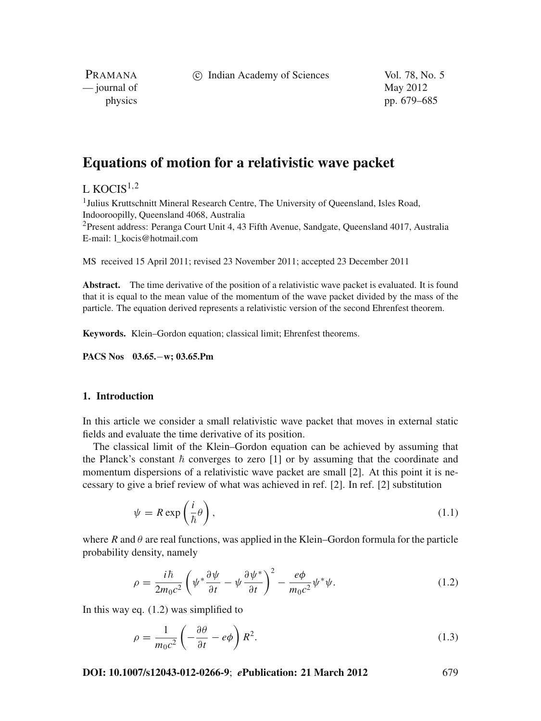c Indian Academy of Sciences Vol. 78, No. 5

PRAMANA — journal of May 2012

physics pp. 679–685

# **Equations of motion for a relativistic wave packet**

# L KOCIS<sup>1,2</sup>

<sup>1</sup> Julius Kruttschnitt Mineral Research Centre, The University of Queensland, Isles Road, Indooroopilly, Queensland 4068, Australia

<sup>2</sup>Present address: Peranga Court Unit 4, 43 Fifth Avenue, Sandgate, Queensland 4017, Australia E-mail: l\_kocis@hotmail.com

MS received 15 April 2011; revised 23 November 2011; accepted 23 December 2011

**Abstract.** The time derivative of the position of a relativistic wave packet is evaluated. It is found that it is equal to the mean value of the momentum of the wave packet divided by the mass of the particle. The equation derived represents a relativistic version of the second Ehrenfest theorem.

**Keywords.** Klein–Gordon equation; classical limit; Ehrenfest theorems.

**PACS Nos 03.65.**−**w; 03.65.Pm**

# **1. Introduction**

In this article we consider a small relativistic wave packet that moves in external static fields and evaluate the time derivative of its position.

The classical limit of the Klein–Gordon equation can be achieved by assuming that the Planck's constant  $\hbar$  converges to zero [1] or by assuming that the coordinate and momentum dispersions of a relativistic wave packet are small [2]. At this point it is necessary to give a brief review of what was achieved in ref. [2]. In ref. [2] substitution

$$
\psi = R \exp\left(\frac{i}{\hbar}\theta\right),\tag{1.1}
$$

where  $R$  and  $\theta$  are real functions, was applied in the Klein–Gordon formula for the particle probability density, namely

$$
\rho = \frac{i\hbar}{2m_0c^2} \left( \psi^* \frac{\partial \psi}{\partial t} - \psi \frac{\partial \psi^*}{\partial t} \right)^2 - \frac{e\phi}{m_0c^2} \psi^* \psi.
$$
\n(1.2)

In this way eq. (1.2) was simplified to

$$
\rho = \frac{1}{m_0 c^2} \left( -\frac{\partial \theta}{\partial t} - e\phi \right) R^2.
$$
\n(1.3)

**DOI: 10.1007/s12043-012-0266-9**; *e***Publication: 21 March 2012** 679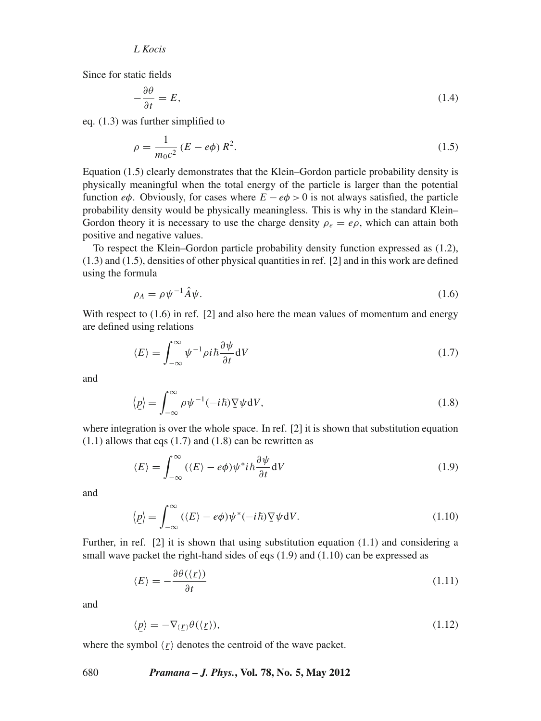Since for static fields

$$
-\frac{\partial \theta}{\partial t} = E,\tag{1.4}
$$

eq. (1.3) was further simplified to

$$
\rho = \frac{1}{m_0 c^2} (E - e\phi) R^2.
$$
\n(1.5)

Equation (1.5) clearly demonstrates that the Klein–Gordon particle probability density is physically meaningful when the total energy of the particle is larger than the potential function *e* $\phi$ . Obviously, for cases where  $E - e\phi > 0$  is not always satisfied, the particle probability density would be physically meaningless. This is why in the standard Klein– Gordon theory it is necessary to use the charge density  $\rho_e = e\rho$ , which can attain both positive and negative values.

To respect the Klein–Gordon particle probability density function expressed as (1.2), (1.3) and (1.5), densities of other physical quantities in ref. [2] and in this work are defined using the formula

$$
\rho_A = \rho \psi^{-1} \hat{A} \psi. \tag{1.6}
$$

With respect to  $(1.6)$  in ref. [2] and also here the mean values of momentum and energy are defined using relations

$$
\langle E \rangle = \int_{-\infty}^{\infty} \psi^{-1} \rho i \hbar \frac{\partial \psi}{\partial t} dV \tag{1.7}
$$

and

$$
\langle \underline{p} \rangle = \int_{-\infty}^{\infty} \rho \psi^{-1} (-i\hbar) \nabla \psi \, dV, \tag{1.8}
$$

where integration is over the whole space. In ref.  $[2]$  it is shown that substitution equation  $(1.1)$  allows that eqs  $(1.7)$  and  $(1.8)$  can be rewritten as

$$
\langle E \rangle = \int_{-\infty}^{\infty} (\langle E \rangle - e\phi) \psi^* i \hbar \frac{\partial \psi}{\partial t} dV \tag{1.9}
$$

and

$$
\langle \underline{p} \rangle = \int_{-\infty}^{\infty} (\langle E \rangle - e\phi) \psi^*(-i\hbar) \nabla \psi \, dV. \tag{1.10}
$$

Further, in ref. [2] it is shown that using substitution equation (1.1) and considering a small wave packet the right-hand sides of eqs (1.9) and (1.10) can be expressed as

$$
\langle E \rangle = -\frac{\partial \theta(\langle \underline{r} \rangle)}{\partial t} \tag{1.11}
$$

and

$$
\langle \underline{p} \rangle = -\nabla_{\langle \underline{r} \rangle} \theta(\langle \underline{r} \rangle), \tag{1.12}
$$

where the symbol  $\langle r \rangle$  denotes the centroid of the wave packet.

#### 680 *Pramana – J. Phys.***, Vol. 78, No. 5, May 2012**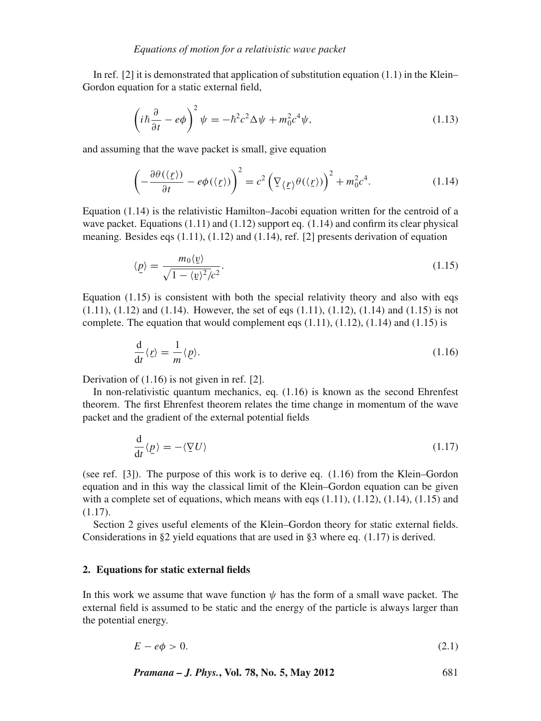In ref. [2] it is demonstrated that application of substitution equation  $(1.1)$  in the Klein– Gordon equation for a static external field,

$$
\left(i\hbar\frac{\partial}{\partial t} - e\phi\right)^2 \psi = -\hbar^2 c^2 \Delta \psi + m_0^2 c^4 \psi,\tag{1.13}
$$

and assuming that the wave packet is small, give equation

$$
\left(-\frac{\partial \theta(\langle \underline{r} \rangle)}{\partial t} - e\phi(\langle \underline{r} \rangle)\right)^2 = c^2 \left(\nabla_{\langle \underline{r} \rangle} \theta(\langle \underline{r} \rangle)\right)^2 + m_0^2 c^4. \tag{1.14}
$$

Equation (1.14) is the relativistic Hamilton–Jacobi equation written for the centroid of a wave packet. Equations  $(1.11)$  and  $(1.12)$  support eq.  $(1.14)$  and confirm its clear physical meaning. Besides eqs (1.11), (1.12) and (1.14), ref. [2] presents derivation of equation

$$
\langle \underline{p} \rangle = \frac{m_0 \langle \underline{v} \rangle}{\sqrt{1 - \langle \underline{v} \rangle^2/c^2}}.
$$
\n(1.15)

Equation  $(1.15)$  is consistent with both the special relativity theory and also with eqs  $(1.11)$ ,  $(1.12)$  and  $(1.14)$ . However, the set of eqs  $(1.11)$ ,  $(1.12)$ ,  $(1.14)$  and  $(1.15)$  is not complete. The equation that would complement eqs  $(1.11)$ ,  $(1.12)$ ,  $(1.14)$  and  $(1.15)$  is

$$
\frac{\mathrm{d}}{\mathrm{d}t}\langle \underline{r}\rangle = \frac{1}{m}\langle \underline{p}\rangle. \tag{1.16}
$$

Derivation of (1.16) is not given in ref. [2].

In non-relativistic quantum mechanics, eq. (1.16) is known as the second Ehrenfest theorem. The first Ehrenfest theorem relates the time change in momentum of the wave packet and the gradient of the external potential fields

$$
\frac{\mathrm{d}}{\mathrm{d}t}\langle \underline{p}\rangle = -\langle \nabla U\rangle \tag{1.17}
$$

(see ref. [3]). The purpose of this work is to derive eq. (1.16) from the Klein–Gordon equation and in this way the classical limit of the Klein–Gordon equation can be given with a complete set of equations, which means with eqs  $(1.11)$ ,  $(1.12)$ ,  $(1.14)$ ,  $(1.15)$  and  $(1.17)$ .

Section 2 gives useful elements of the Klein–Gordon theory for static external fields. Considerations in §2 yield equations that are used in §3 where eq.  $(1.17)$  is derived.

### **2. Equations for static external fields**

In this work we assume that wave function  $\psi$  has the form of a small wave packet. The external field is assumed to be static and the energy of the particle is always larger than the potential energy.

$$
E - e\phi > 0. \tag{2.1}
$$

*Pramana – J. Phys.***, Vol. 78, No. 5, May 2012** 681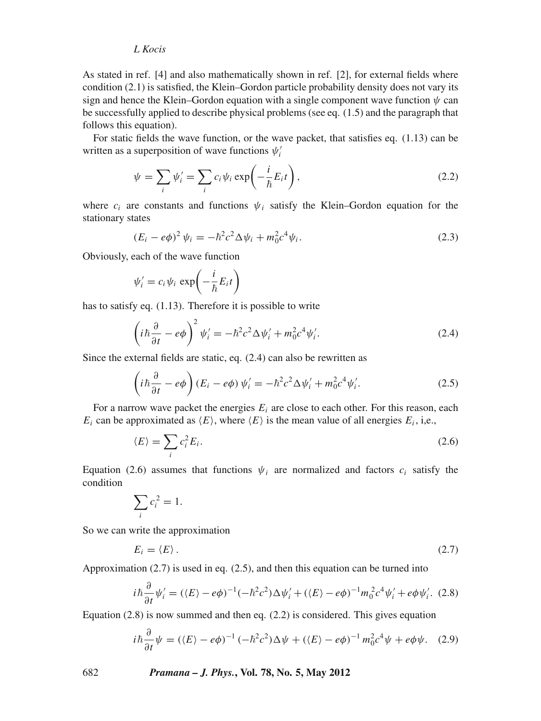# *L Kocis*

As stated in ref. [4] and also mathematically shown in ref. [2], for external fields where condition (2.1) is satisfied, the Klein–Gordon particle probability density does not vary its sign and hence the Klein–Gordon equation with a single component wave function  $\psi$  can be successfully applied to describe physical problems (see eq. (1.5) and the paragraph that follows this equation).

For static fields the wave function, or the wave packet, that satisfies eq. (1.13) can be written as a superposition of wave functions  $\psi_i'$ 

$$
\psi = \sum_{i} \psi'_{i} = \sum_{i} c_{i} \psi_{i} \exp\left(-\frac{i}{\hbar} E_{i} t\right),\tag{2.2}
$$

where  $c_i$  are constants and functions  $\psi_i$  satisfy the Klein–Gordon equation for the stationary states

$$
(E_i - e\phi)^2 \psi_i = -\hbar^2 c^2 \Delta \psi_i + m_0^2 c^4 \psi_i.
$$
 (2.3)

Obviously, each of the wave function

$$
\psi'_i = c_i \psi_i \, \exp\!\left(-\frac{i}{\hbar} E_i t\right)
$$

has to satisfy eq. (1.13). Therefore it is possible to write

$$
\left(i\hbar\frac{\partial}{\partial t} - e\phi\right)^2 \psi_i' = -\hbar^2 c^2 \Delta \psi_i' + m_0^2 c^4 \psi_i'.\tag{2.4}
$$

Since the external fields are static, eq. (2.4) can also be rewritten as

$$
\left(i\hbar\frac{\partial}{\partial t} - e\phi\right)(E_i - e\phi)\psi_i' = -\hbar^2 c^2 \Delta \psi_i' + m_0^2 c^4 \psi_i'.\tag{2.5}
$$

For a narrow wave packet the energies  $E_i$  are close to each other. For this reason, each  $E_i$  can be approximated as  $\langle E \rangle$ , where  $\langle E \rangle$  is the mean value of all energies  $E_i$ , i,e.,

$$
\langle E \rangle = \sum_i c_i^2 E_i. \tag{2.6}
$$

Equation (2.6) assumes that functions  $\psi_i$  are normalized and factors  $c_i$  satisfy the condition

$$
\sum_i c_i^2 = 1.
$$

So we can write the approximation

$$
E_i = \langle E \rangle. \tag{2.7}
$$

Approximation (2.7) is used in eq. (2.5), and then this equation can be turned into

$$
i\hbar \frac{\partial}{\partial t} \psi'_i = (\langle E \rangle - e\phi)^{-1} (-\hbar^2 c^2) \Delta \psi'_i + (\langle E \rangle - e\phi)^{-1} m_0^2 c^4 \psi'_i + e\phi \psi'_i. \tag{2.8}
$$

Equation (2.8) is now summed and then eq. (2.2) is considered. This gives equation

$$
i\hbar \frac{\partial}{\partial t}\psi = (\langle E \rangle - e\phi)^{-1} (-\hbar^2 c^2) \Delta \psi + (\langle E \rangle - e\phi)^{-1} m_0^2 c^4 \psi + e\phi \psi. \quad (2.9)
$$

682 *Pramana – J. Phys.***, Vol. 78, No. 5, May 2012**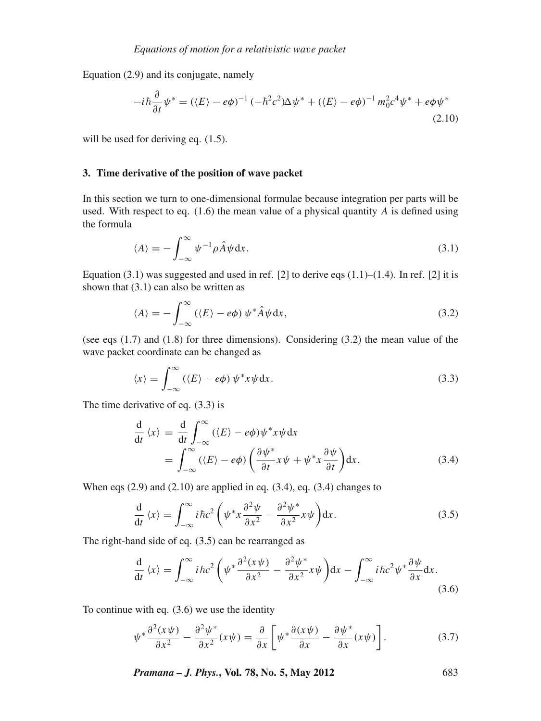Equation (2.9) and its conjugate, namely

$$
-i\hbar\frac{\partial}{\partial t}\psi^* = (\langle E\rangle - e\phi)^{-1}(-\hbar^2 c^2)\Delta\psi^* + (\langle E\rangle - e\phi)^{-1}m_0^2 c^4\psi^* + e\phi\psi^*
$$
\n(2.10)

will be used for deriving eq.  $(1.5)$ .

#### **3. Time derivative of the position of wave packet**

In this section we turn to one-dimensional formulae because integration per parts will be used. With respect to eq.  $(1.6)$  the mean value of a physical quantity *A* is defined using the formula

$$
\langle A \rangle = -\int_{-\infty}^{\infty} \psi^{-1} \rho \hat{A} \psi \, \mathrm{d}x. \tag{3.1}
$$

Equation  $(3.1)$  was suggested and used in ref. [2] to derive eqs  $(1.1)$ – $(1.4)$ . In ref. [2] it is shown that  $(3.1)$  can also be written as

$$
\langle A \rangle = -\int_{-\infty}^{\infty} (\langle E \rangle - e\phi) \, \psi^* \hat{A} \psi \, dx,\tag{3.2}
$$

(see eqs (1.7) and (1.8) for three dimensions). Considering (3.2) the mean value of the wave packet coordinate can be changed as

$$
\langle x \rangle = \int_{-\infty}^{\infty} (\langle E \rangle - e\phi) \, \psi^* x \psi \, dx. \tag{3.3}
$$

The time derivative of eq. (3.3) is

$$
\frac{d}{dt} \langle x \rangle = \frac{d}{dt} \int_{-\infty}^{\infty} (\langle E \rangle - e\phi) \psi^* x \psi dx \n= \int_{-\infty}^{\infty} (\langle E \rangle - e\phi) \left( \frac{\partial \psi^*}{\partial t} x \psi + \psi^* x \frac{\partial \psi}{\partial t} \right) dx.
$$
\n(3.4)

When eqs  $(2.9)$  and  $(2.10)$  are applied in eq.  $(3.4)$ , eq.  $(3.4)$  changes to

$$
\frac{d}{dt} \langle x \rangle = \int_{-\infty}^{\infty} i \hbar c^2 \left( \psi^* x \frac{\partial^2 \psi}{\partial x^2} - \frac{\partial^2 \psi^*}{\partial x^2} x \psi \right) dx.
$$
 (3.5)

The right-hand side of eq. (3.5) can be rearranged as

$$
\frac{\mathrm{d}}{\mathrm{d}t} \langle x \rangle = \int_{-\infty}^{\infty} i\hbar c^2 \left( \psi^* \frac{\partial^2 (x\psi)}{\partial x^2} - \frac{\partial^2 \psi^*}{\partial x^2} x\psi \right) dx - \int_{-\infty}^{\infty} i\hbar c^2 \psi^* \frac{\partial \psi}{\partial x} dx. \tag{3.6}
$$

To continue with eq. (3.6) we use the identity

$$
\psi^* \frac{\partial^2 (x\psi)}{\partial x^2} - \frac{\partial^2 \psi^*}{\partial x^2} (x\psi) = \frac{\partial}{\partial x} \left[ \psi^* \frac{\partial (x\psi)}{\partial x} - \frac{\partial \psi^*}{\partial x} (x\psi) \right]. \tag{3.7}
$$

*Pramana – J. Phys.***, Vol. 78, No. 5, May 2012** 683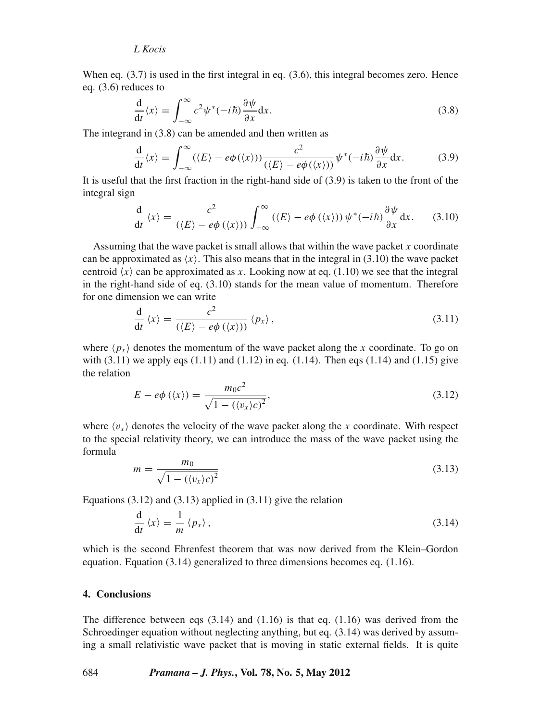# *L Kocis*

When eq.  $(3.7)$  is used in the first integral in eq.  $(3.6)$ , this integral becomes zero. Hence eq. (3.6) reduces to

$$
\frac{d}{dt}\langle x\rangle = \int_{-\infty}^{\infty} c^2 \psi^*(-i\hbar) \frac{\partial \psi}{\partial x} dx.
$$
\n(3.8)

The integrand in (3.8) can be amended and then written as

$$
\frac{d}{dt}\langle x\rangle = \int_{-\infty}^{\infty} (\langle E\rangle - e\phi(\langle x\rangle)) \frac{c^2}{(\langle E\rangle - e\phi(\langle x\rangle))} \psi^*(-i\hbar) \frac{\partial \psi}{\partial x} dx.
$$
 (3.9)

It is useful that the first fraction in the right-hand side of (3.9) is taken to the front of the integral sign

$$
\frac{\mathrm{d}}{\mathrm{d}t} \langle x \rangle = \frac{c^2}{(\langle E \rangle - e\phi(\langle x \rangle))} \int_{-\infty}^{\infty} (\langle E \rangle - e\phi(\langle x \rangle)) \psi^*(-i\hbar) \frac{\partial \psi}{\partial x} \mathrm{d}x. \tag{3.10}
$$

Assuming that the wave packet is small allows that within the wave packet *x* coordinate can be approximated as  $\langle x \rangle$ . This also means that in the integral in (3.10) the wave packet centroid  $\langle x \rangle$  can be approximated as *x*. Looking now at eq. (1.10) we see that the integral in the right-hand side of eq. (3.10) stands for the mean value of momentum. Therefore for one dimension we can write

$$
\frac{\mathrm{d}}{\mathrm{d}t} \langle x \rangle = \frac{c^2}{(\langle E \rangle - e\phi(\langle x \rangle))} \langle p_x \rangle, \tag{3.11}
$$

where  $\langle p_x \rangle$  denotes the momentum of the wave packet along the *x* coordinate. To go on with  $(3.11)$  we apply eqs  $(1.11)$  and  $(1.12)$  in eq.  $(1.14)$ . Then eqs  $(1.14)$  and  $(1.15)$  give the relation

$$
E - e\phi(\langle x \rangle) = \frac{m_0 c^2}{\sqrt{1 - (\langle v_x \rangle c)^2}},
$$
\n(3.12)

where  $\langle v_x \rangle$  denotes the velocity of the wave packet along the *x* coordinate. With respect to the special relativity theory, we can introduce the mass of the wave packet using the formula

$$
m = \frac{m_0}{\sqrt{1 - (\langle v_x \rangle c)^2}}
$$
(3.13)

Equations  $(3.12)$  and  $(3.13)$  applied in  $(3.11)$  give the relation

$$
\frac{\mathrm{d}}{\mathrm{d}t} \langle x \rangle = \frac{1}{m} \langle p_x \rangle \,, \tag{3.14}
$$

which is the second Ehrenfest theorem that was now derived from the Klein–Gordon equation. Equation (3.14) generalized to three dimensions becomes eq. (1.16).

### **4. Conclusions**

The difference between eqs  $(3.14)$  and  $(1.16)$  is that eq.  $(1.16)$  was derived from the Schroedinger equation without neglecting anything, but eq. (3.14) was derived by assuming a small relativistic wave packet that is moving in static external fields. It is quite